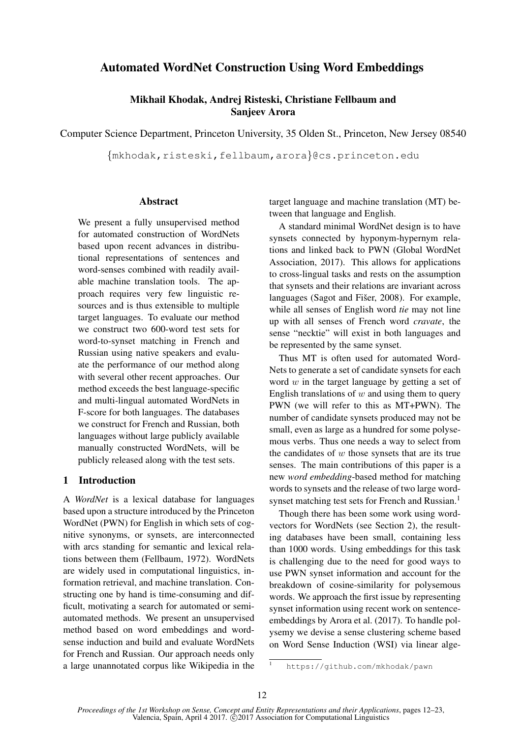# Automated WordNet Construction Using Word Embeddings

# Mikhail Khodak, Andrej Risteski, Christiane Fellbaum and Sanjeev Arora

Computer Science Department, Princeton University, 35 Olden St., Princeton, New Jersey 08540

{mkhodak,risteski,fellbaum,arora}@cs.princeton.edu

## Abstract

We present a fully unsupervised method for automated construction of WordNets based upon recent advances in distributional representations of sentences and word-senses combined with readily available machine translation tools. The approach requires very few linguistic resources and is thus extensible to multiple target languages. To evaluate our method we construct two 600-word test sets for word-to-synset matching in French and Russian using native speakers and evaluate the performance of our method along with several other recent approaches. Our method exceeds the best language-specific and multi-lingual automated WordNets in F-score for both languages. The databases we construct for French and Russian, both languages without large publicly available manually constructed WordNets, will be publicly released along with the test sets.

# 1 Introduction

A *WordNet* is a lexical database for languages based upon a structure introduced by the Princeton WordNet (PWN) for English in which sets of cognitive synonyms, or synsets, are interconnected with arcs standing for semantic and lexical relations between them (Fellbaum, 1972). WordNets are widely used in computational linguistics, information retrieval, and machine translation. Constructing one by hand is time-consuming and difficult, motivating a search for automated or semiautomated methods. We present an unsupervised method based on word embeddings and wordsense induction and build and evaluate WordNets for French and Russian. Our approach needs only a large unannotated corpus like Wikipedia in the target language and machine translation (MT) between that language and English.

A standard minimal WordNet design is to have synsets connected by hyponym-hypernym relations and linked back to PWN (Global WordNet Association, 2017). This allows for applications to cross-lingual tasks and rests on the assumption that synsets and their relations are invariant across languages (Sagot and Fišer, 2008). For example, while all senses of English word *tie* may not line up with all senses of French word *cravate*, the sense "necktie" will exist in both languages and be represented by the same synset.

Thus MT is often used for automated Word-Nets to generate a set of candidate synsets for each word  $w$  in the target language by getting a set of English translations of  $w$  and using them to query PWN (we will refer to this as MT+PWN). The number of candidate synsets produced may not be small, even as large as a hundred for some polysemous verbs. Thus one needs a way to select from the candidates of  $w$  those synsets that are its true senses. The main contributions of this paper is a new *word embedding*-based method for matching words to synsets and the release of two large wordsynset matching test sets for French and Russian.<sup>1</sup>

Though there has been some work using wordvectors for WordNets (see Section 2), the resulting databases have been small, containing less than 1000 words. Using embeddings for this task is challenging due to the need for good ways to use PWN synset information and account for the breakdown of cosine-similarity for polysemous words. We approach the first issue by representing synset information using recent work on sentenceembeddings by Arora et al. (2017). To handle polysemy we devise a sense clustering scheme based on Word Sense Induction (WSI) via linear alge-

<sup>1</sup> https://github.com/mkhodak/pawn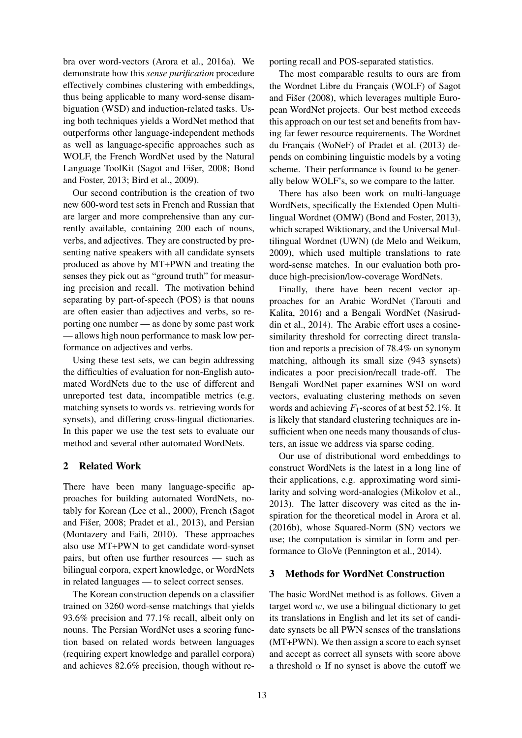bra over word-vectors (Arora et al., 2016a). We demonstrate how this *sense purification* procedure effectively combines clustering with embeddings, thus being applicable to many word-sense disambiguation (WSD) and induction-related tasks. Using both techniques yields a WordNet method that outperforms other language-independent methods as well as language-specific approaches such as WOLF, the French WordNet used by the Natural Language ToolKit (Sagot and Fišer, 2008; Bond and Foster, 2013; Bird et al., 2009).

Our second contribution is the creation of two new 600-word test sets in French and Russian that are larger and more comprehensive than any currently available, containing 200 each of nouns, verbs, and adjectives. They are constructed by presenting native speakers with all candidate synsets produced as above by MT+PWN and treating the senses they pick out as "ground truth" for measuring precision and recall. The motivation behind separating by part-of-speech (POS) is that nouns are often easier than adjectives and verbs, so reporting one number — as done by some past work — allows high noun performance to mask low performance on adjectives and verbs.

Using these test sets, we can begin addressing the difficulties of evaluation for non-English automated WordNets due to the use of different and unreported test data, incompatible metrics (e.g. matching synsets to words vs. retrieving words for synsets), and differing cross-lingual dictionaries. In this paper we use the test sets to evaluate our method and several other automated WordNets.

# 2 Related Work

There have been many language-specific approaches for building automated WordNets, notably for Korean (Lee et al., 2000), French (Sagot and Fišer, 2008; Pradet et al., 2013), and Persian (Montazery and Faili, 2010). These approaches also use MT+PWN to get candidate word-synset pairs, but often use further resources — such as bilingual corpora, expert knowledge, or WordNets in related languages — to select correct senses.

The Korean construction depends on a classifier trained on 3260 word-sense matchings that yields 93.6% precision and 77.1% recall, albeit only on nouns. The Persian WordNet uses a scoring function based on related words between languages (requiring expert knowledge and parallel corpora) and achieves 82.6% precision, though without reporting recall and POS-separated statistics.

The most comparable results to ours are from the Wordnet Libre du Français (WOLF) of Sagot and Fišer  $(2008)$ , which leverages multiple European WordNet projects. Our best method exceeds this approach on our test set and benefits from having far fewer resource requirements. The Wordnet du Français (WoNeF) of Pradet et al. (2013) depends on combining linguistic models by a voting scheme. Their performance is found to be generally below WOLF's, so we compare to the latter.

There has also been work on multi-language WordNets, specifically the Extended Open Multilingual Wordnet (OMW) (Bond and Foster, 2013), which scraped Wiktionary, and the Universal Multilingual Wordnet (UWN) (de Melo and Weikum, 2009), which used multiple translations to rate word-sense matches. In our evaluation both produce high-precision/low-coverage WordNets.

Finally, there have been recent vector approaches for an Arabic WordNet (Tarouti and Kalita, 2016) and a Bengali WordNet (Nasiruddin et al., 2014). The Arabic effort uses a cosinesimilarity threshold for correcting direct translation and reports a precision of 78.4% on synonym matching, although its small size (943 synsets) indicates a poor precision/recall trade-off. The Bengali WordNet paper examines WSI on word vectors, evaluating clustering methods on seven words and achieving  $F_1$ -scores of at best 52.1%. It is likely that standard clustering techniques are insufficient when one needs many thousands of clusters, an issue we address via sparse coding.

Our use of distributional word embeddings to construct WordNets is the latest in a long line of their applications, e.g. approximating word similarity and solving word-analogies (Mikolov et al., 2013). The latter discovery was cited as the inspiration for the theoretical model in Arora et al. (2016b), whose Squared-Norm (SN) vectors we use; the computation is similar in form and performance to GloVe (Pennington et al., 2014).

# 3 Methods for WordNet Construction

The basic WordNet method is as follows. Given a target word  $w$ , we use a bilingual dictionary to get its translations in English and let its set of candidate synsets be all PWN senses of the translations (MT+PWN). We then assign a score to each synset and accept as correct all synsets with score above a threshold  $\alpha$  If no synset is above the cutoff we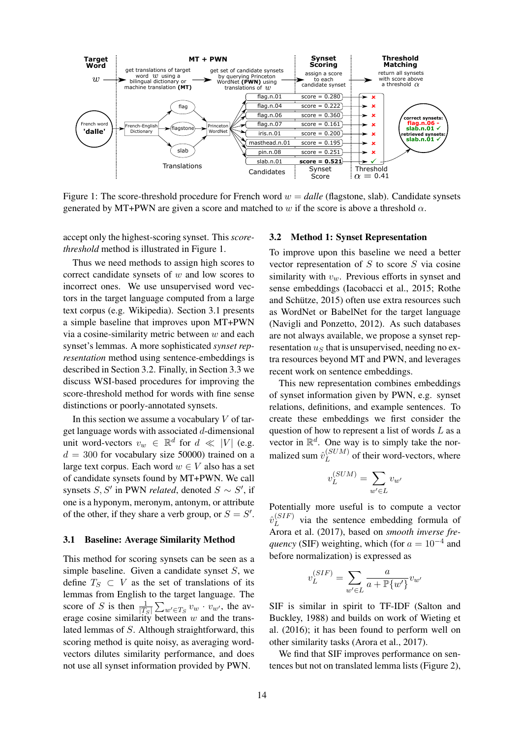

Figure 1: The score-threshold procedure for French word  $w = \text{dalle}$  (flagstone, slab). Candidate synsets generated by MT+PWN are given a score and matched to w if the score is above a threshold  $\alpha$ .

accept only the highest-scoring synset. This *scorethreshold* method is illustrated in Figure 1.

Thus we need methods to assign high scores to correct candidate synsets of w and low scores to incorrect ones. We use unsupervised word vectors in the target language computed from a large text corpus (e.g. Wikipedia). Section 3.1 presents a simple baseline that improves upon MT+PWN via a cosine-similarity metric between  $w$  and each synset's lemmas. A more sophisticated *synset representation* method using sentence-embeddings is described in Section 3.2. Finally, in Section 3.3 we discuss WSI-based procedures for improving the score-threshold method for words with fine sense distinctions or poorly-annotated synsets.

In this section we assume a vocabulary  $V$  of target language words with associated  $d$ -dimensional unit word-vectors  $v_w \in \mathbb{R}^d$  for  $d \ll |V|$  (e.g.  $d = 300$  for vocabulary size 50000) trained on a large text corpus. Each word  $w \in V$  also has a set of candidate synsets found by MT+PWN. We call synsets  $S, S'$  in PWN *related*, denoted  $S \sim S'$ , if one is a hyponym, meronym, antonym, or attribute of the other, if they share a verb group, or  $S = S'$ .

#### 3.1 Baseline: Average Similarity Method

This method for scoring synsets can be seen as a simple baseline. Given a candidate synset  $S$ , we define  $T_S \subset V$  as the set of translations of its lemmas from English to the target language. The score of S is then  $\frac{1}{|T_S|} \sum_{w' \in T_S} v_w \cdot v_{w'}$ , the average cosine similarity between  $w$  and the translated lemmas of S. Although straightforward, this scoring method is quite noisy, as averaging wordvectors dilutes similarity performance, and does not use all synset information provided by PWN.

#### 3.2 Method 1: Synset Representation

To improve upon this baseline we need a better vector representation of  $S$  to score  $S$  via cosine similarity with  $v_w$ . Previous efforts in synset and sense embeddings (Iacobacci et al., 2015; Rothe and Schütze, 2015) often use extra resources such as WordNet or BabelNet for the target language (Navigli and Ponzetto, 2012). As such databases are not always available, we propose a synset representation  $u<sub>S</sub>$  that is unsupervised, needing no extra resources beyond MT and PWN, and leverages recent work on sentence embeddings.

This new representation combines embeddings of synset information given by PWN, e.g. synset relations, definitions, and example sentences. To create these embeddings we first consider the question of how to represent a list of words  $L$  as a vector in  $\mathbb{R}^d$ . One way is to simply take the normalized sum  $\hat{v}_L^{(SUM)}$  $L^{(SOM)}$  of their word-vectors, where

$$
v_L^{(SUM)} = \sum_{w' \in L} v_{w'}
$$

Potentially more useful is to compute a vector  $\hat v^{(SIF)}_L$  $L^{(SIF)}$  via the sentence embedding formula of Arora et al. (2017), based on *smooth inverse frequency* (SIF) weighting, which (for  $a = 10^{-4}$  and before normalization) is expressed as

$$
v_L^{(SIF)} = \sum_{w' \in L} \frac{a}{a + \mathbb{P}\{w'\}} v_{w'}
$$

SIF is similar in spirit to TF-IDF (Salton and Buckley, 1988) and builds on work of Wieting et al. (2016); it has been found to perform well on other similarity tasks (Arora et al., 2017).

We find that SIF improves performance on sentences but not on translated lemma lists (Figure 2),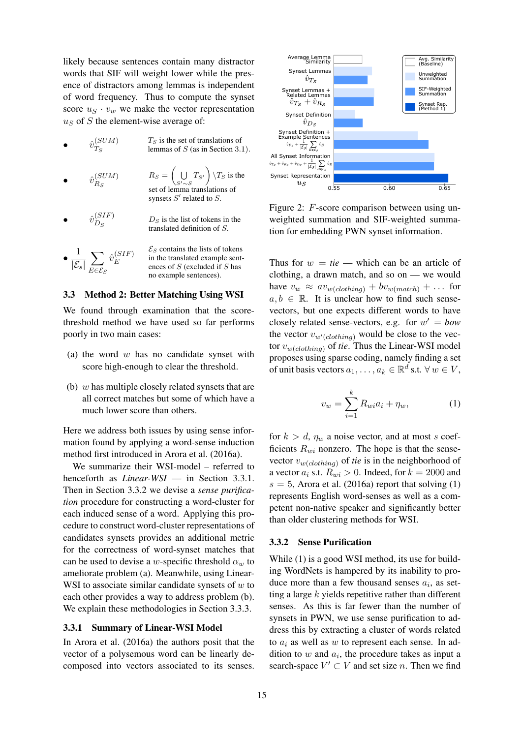likely because sentences contain many distractor words that SIF will weight lower while the presence of distractors among lemmas is independent of word frequency. Thus to compute the synset score  $u_S \cdot v_w$  we make the vector representation  $u<sub>S</sub>$  of S the element-wise average of:

- $\bullet$   $\hat{v}_{Ts}^{(SUM)}$  $T_S$  $T<sub>S</sub>$  is the set of translations of lemmas of  $S$  (as in Section 3.1).
- $\bullet$   $\hat{v}_{R_{S}}^{(SUM)}$  $R_S$  $R_S = \begin{pmatrix} 1 & 1 \\ 1 & 1 \end{pmatrix}$  $S' \sim S$  $T_{S'}\bigg)\, \backslash T_S$  is the set of lemma translations of synsets  $S'$  related to  $S$ .
- $\bullet$   $\hat{v}_{D_{S}}^{(SIF)}$  $D_S$  $D_s$  is the list of tokens in the translated definition of S.
- 1  $|\mathcal{E}_s|$  $\sum$  $E \in \mathcal{E}_S$  $\hat v_E^{(SIF)}$ E  $\mathcal{E}_S$  contains the lists of tokens in the translated example sentences of  $S$  (excluded if  $S$  has no example sentences).

### 3.3 Method 2: Better Matching Using WSI

We found through examination that the scorethreshold method we have used so far performs poorly in two main cases:

- (a) the word  $w$  has no candidate synset with score high-enough to clear the threshold.
- (b) w has multiple closely related synsets that are all correct matches but some of which have a much lower score than others.

Here we address both issues by using sense information found by applying a word-sense induction method first introduced in Arora et al. (2016a).

We summarize their WSI-model – referred to henceforth as *Linear-WSI* — in Section 3.3.1. Then in Section 3.3.2 we devise a *sense purification* procedure for constructing a word-cluster for each induced sense of a word. Applying this procedure to construct word-cluster representations of candidates synsets provides an additional metric for the correctness of word-synset matches that can be used to devise a w-specific threshold  $\alpha_w$  to ameliorate problem (a). Meanwhile, using Linear-WSI to associate similar candidate synsets of  $w$  to each other provides a way to address problem (b). We explain these methodologies in Section 3.3.3.

#### 3.3.1 Summary of Linear-WSI Model

In Arora et al. (2016a) the authors posit that the vector of a polysemous word can be linearly decomposed into vectors associated to its senses.



Figure 2: F-score comparison between using unweighted summation and SIF-weighted summation for embedding PWN synset information.

Thus for  $w = tie$  — which can be an article of clothing, a drawn match, and so on — we would have  $v_w \approx av_{w(clothing)} + bv_{w(match)} + \dots$  for  $a, b \in \mathbb{R}$ . It is unclear how to find such sensevectors, but one expects different words to have closely related sense-vectors, e.g. for  $w' = bow$ the vector  $v_{w'(clothing)}$  would be close to the vector  $v_{w(clothing)}$  of *tie*. Thus the Linear-WSI model proposes using sparse coding, namely finding a set of unit basis vectors  $a_1, \ldots, a_k \in \mathbb{R}^d$  s.t.  $\forall w \in V$ ,

$$
v_w = \sum_{i=1}^{k} R_{wi} a_i + \eta_w, \tag{1}
$$

for  $k > d$ ,  $\eta_w$  a noise vector, and at most s coefficients  $R_{wi}$  nonzero. The hope is that the sensevector  $v_{w(clothing)}$  of *tie* is in the neighborhood of a vector  $a_i$  s.t.  $R_{wi} > 0$ . Indeed, for  $k = 2000$  and  $s = 5$ , Arora et al. (2016a) report that solving (1) represents English word-senses as well as a competent non-native speaker and significantly better than older clustering methods for WSI.

# 3.3.2 Sense Purification

While (1) is a good WSI method, its use for building WordNets is hampered by its inability to produce more than a few thousand senses  $a_i$ , as setting a large  $k$  yields repetitive rather than different senses. As this is far fewer than the number of synsets in PWN, we use sense purification to address this by extracting a cluster of words related to  $a_i$  as well as w to represent each sense. In addition to  $w$  and  $a_i$ , the procedure takes as input a search-space  $V' \subset V$  and set size n. Then we find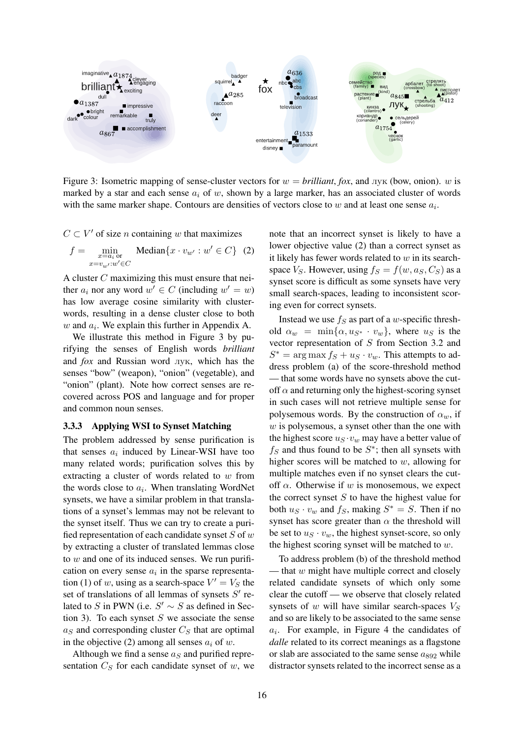

Figure 3: Isometric mapping of sense-cluster vectors for  $w = brilliant, fox$ , and  $\pi yK$  (bow, onion). w is marked by a star and each sense  $a_i$  of w, shown by a large marker, has an associated cluster of words with the same marker shape. Contours are densities of vectors close to  $w$  and at least one sense  $a_i$ .

 $C \subset V'$  of size *n* containing *w* that maximizes

$$
f = \min_{\substack{x = a_i \text{ or} \\ x = v_w \text{ : } w' \in C}} \text{Median}\{x \cdot v_{w'} : w' \in C\} \quad (2)
$$

A cluster C maximizing this must ensure that neither  $a_i$  nor any word  $w' \in C$  (including  $w' = w$ ) has low average cosine similarity with clusterwords, resulting in a dense cluster close to both  $w$  and  $a_i$ . We explain this further in Appendix A.

We illustrate this method in Figure 3 by purifying the senses of English words *brilliant* and *fox* and Russian word лук, which has the senses "bow" (weapon), "onion" (vegetable), and "onion" (plant). Note how correct senses are recovered across POS and language and for proper and common noun senses.

#### 3.3.3 Applying WSI to Synset Matching

The problem addressed by sense purification is that senses  $a_i$  induced by Linear-WSI have too many related words; purification solves this by extracting a cluster of words related to w from the words close to  $a_i$ . When translating WordNet synsets, we have a similar problem in that translations of a synset's lemmas may not be relevant to the synset itself. Thus we can try to create a purified representation of each candidate synset  $S$  of  $w$ by extracting a cluster of translated lemmas close to  $w$  and one of its induced senses. We run purification on every sense  $a_i$  in the sparse representation (1) of w, using as a search-space  $V' = V_S$  the set of translations of all lemmas of synsets  $S'$  related to S in PWN (i.e.  $S' \sim S$  as defined in Section 3). To each synset  $S$  we associate the sense  $a<sub>S</sub>$  and corresponding cluster  $C<sub>S</sub>$  that are optimal in the objective (2) among all senses  $a_i$  of w.

Although we find a sense  $a<sub>S</sub>$  and purified representation  $C_S$  for each candidate synset of w, we note that an incorrect synset is likely to have a lower objective value (2) than a correct synset as it likely has fewer words related to  $w$  in its searchspace  $V_S$ . However, using  $f_S = f(w, a_S, C_S)$  as a synset score is difficult as some synsets have very small search-spaces, leading to inconsistent scoring even for correct synsets.

Instead we use  $f_S$  as part of a w-specific threshold  $\alpha_w = \min\{\alpha, u_{S^*} \cdot v_w\}$ , where  $u_S$  is the vector representation of S from Section 3.2 and  $S^* = \arg \max f_S + u_S \cdot v_w$ . This attempts to address problem (a) of the score-threshold method — that some words have no synsets above the cutoff  $\alpha$  and returning only the highest-scoring synset in such cases will not retrieve multiple sense for polysemous words. By the construction of  $\alpha_w$ , if  $w$  is polysemous, a synset other than the one with the highest score  $u_s \cdot v_w$  may have a better value of  $f_S$  and thus found to be  $S^*$ ; then all synsets with higher scores will be matched to  $w$ , allowing for multiple matches even if no synset clears the cutoff  $\alpha$ . Otherwise if w is monosemous, we expect the correct synset  $S$  to have the highest value for both  $u_S \cdot v_w$  and  $f_S$ , making  $S^* = S$ . Then if no synset has score greater than  $\alpha$  the threshold will be set to  $u_S \cdot v_w$ , the highest synset-score, so only the highest scoring synset will be matched to  $w$ .

To address problem (b) of the threshold method — that  $w$  might have multiple correct and closely related candidate synsets of which only some clear the cutoff — we observe that closely related synsets of  $w$  will have similar search-spaces  $V_S$ and so are likely to be associated to the same sense  $a_i$ . For example, in Figure 4 the candidates of *dalle* related to its correct meanings as a flagstone or slab are associated to the same sense  $a_{892}$  while distractor synsets related to the incorrect sense as a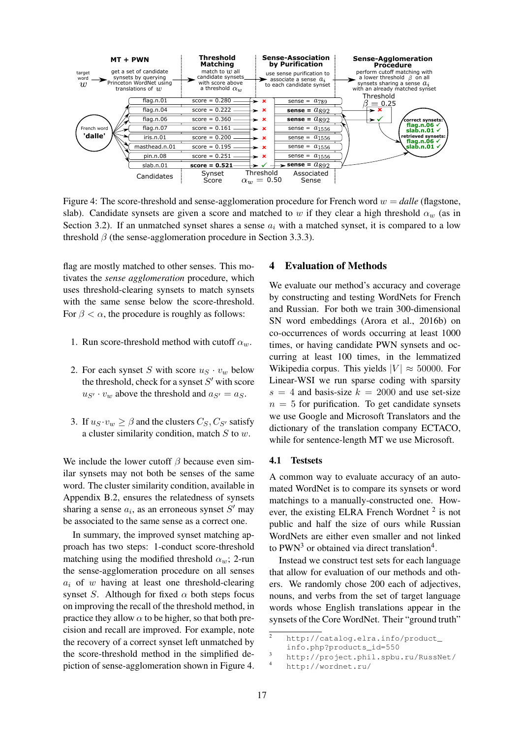

Figure 4: The score-threshold and sense-agglomeration procedure for French word  $w =$  *dalle* (flagstone, slab). Candidate synsets are given a score and matched to w if they clear a high threshold  $\alpha_w$  (as in Section 3.2). If an unmatched synset shares a sense  $a_i$  with a matched synset, it is compared to a low threshold  $\beta$  (the sense-agglomeration procedure in Section 3.3.3).

flag are mostly matched to other senses. This motivates the *sense agglomeration* procedure, which uses threshold-clearing synsets to match synsets with the same sense below the score-threshold. For  $\beta < \alpha$ , the procedure is roughly as follows:

- 1. Run score-threshold method with cutoff  $\alpha_w$ .
- 2. For each synset S with score  $u_S \cdot v_w$  below the threshold, check for a synset  $S'$  with score  $u_{S'} \cdot v_w$  above the threshold and  $a_{S'} = a_S$ .
- 3. If  $u_S \cdot v_w \geq \beta$  and the clusters  $C_S, C_{S'}$  satisfy a cluster similarity condition, match  $S$  to  $w$ .

We include the lower cutoff  $\beta$  because even similar synsets may not both be senses of the same word. The cluster similarity condition, available in Appendix B.2, ensures the relatedness of synsets sharing a sense  $a_i$ , as an erroneous synset  $S'$  may be associated to the same sense as a correct one.

In summary, the improved synset matching approach has two steps: 1-conduct score-threshold matching using the modified threshold  $\alpha_w$ ; 2-run the sense-agglomeration procedure on all senses  $a_i$  of w having at least one threshold-clearing synset S. Although for fixed  $\alpha$  both steps focus on improving the recall of the threshold method, in practice they allow  $\alpha$  to be higher, so that both precision and recall are improved. For example, note the recovery of a correct synset left unmatched by the score-threshold method in the simplified depiction of sense-agglomeration shown in Figure 4.

# 4 Evaluation of Methods

We evaluate our method's accuracy and coverage by constructing and testing WordNets for French and Russian. For both we train 300-dimensional SN word embeddings (Arora et al., 2016b) on co-occurrences of words occurring at least 1000 times, or having candidate PWN synsets and occurring at least 100 times, in the lemmatized Wikipedia corpus. This yields  $|V| \approx 50000$ . For Linear-WSI we run sparse coding with sparsity  $s = 4$  and basis-size  $k = 2000$  and use set-size  $n = 5$  for purification. To get candidate synsets we use Google and Microsoft Translators and the dictionary of the translation company ECTACO, while for sentence-length MT we use Microsoft.

# 4.1 Testsets

A common way to evaluate accuracy of an automated WordNet is to compare its synsets or word matchings to a manually-constructed one. However, the existing ELRA French Wordnet  $2$  is not public and half the size of ours while Russian WordNets are either even smaller and not linked to  $PWN<sup>3</sup>$  or obtained via direct translation<sup>4</sup>.

Instead we construct test sets for each language that allow for evaluation of our methods and others. We randomly chose 200 each of adjectives, nouns, and verbs from the set of target language words whose English translations appear in the synsets of the Core WordNet. Their "ground truth"

<sup>2</sup> http://catalog.elra.info/product\_

info.php?products\_id=550

<sup>3</sup> http://project.phil.spbu.ru/RussNet/

http://wordnet.ru/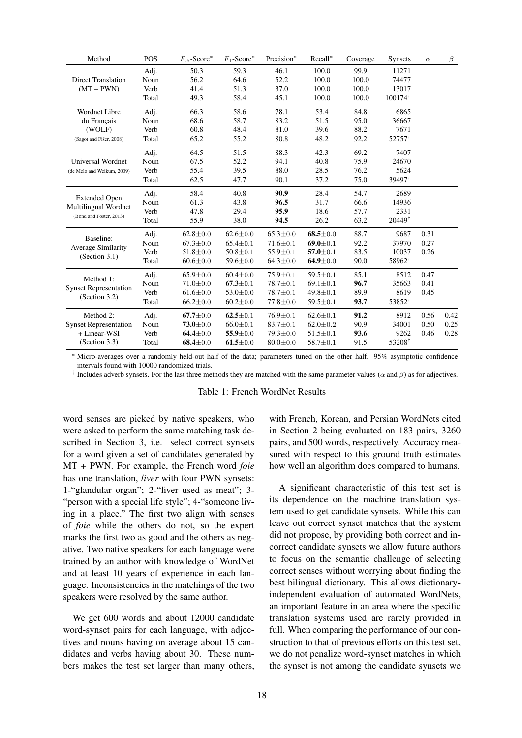| Method                                                     | POS   | $F_{.5}$ -Score* | $F_1$ -Score*  | Precision*     | Recall*        | Coverage | <b>Synsets</b>     | $\alpha$ | $\beta$ |
|------------------------------------------------------------|-------|------------------|----------------|----------------|----------------|----------|--------------------|----------|---------|
| <b>Direct Translation</b><br>$(MT + PWN)$                  | Adj.  | 50.3             | 59.3           | 46.1           | 100.0          | 99.9     | 11271              |          |         |
|                                                            | Noun  | 56.2             | 64.6           | 52.2           | 100.0          | 100.0    | 74477              |          |         |
|                                                            | Verb  | 41.4             | 51.3           | 37.0           | 100.0          | 100.0    | 13017              |          |         |
|                                                            | Total | 49.3             | 58.4           | 45.1           | 100.0          | 100.0    | $100174^{\dagger}$ |          |         |
| Wordnet Libre                                              | Adj.  | 66.3             | 58.6           | 78.1           | 53.4           | 84.8     | 6865               |          |         |
| du Français                                                | Noun  | 68.6             | 58.7           | 83.2           | 51.5           | 95.0     | 36667              |          |         |
| (WOLF)                                                     | Verb  | 60.8             | 48.4           | 81.0           | 39.6           | 88.2     | 7671               |          |         |
| (Sagot and Fišer, 2008)                                    | Total | 65.2             | 55.2           | 80.8           | 48.2           | 92.2     | 52757 <sup>†</sup> |          |         |
| Universal Wordnet                                          | Adj.  | 64.5             | 51.5           | 88.3           | 42.3           | 69.2     | 7407               |          |         |
|                                                            | Noun  | 67.5             | 52.2           | 94.1           | 40.8           | 75.9     | 24670              |          |         |
| (de Melo and Weikum, 2009)                                 | Verb  | 55.4             | 39.5           | 88.0           | 28.5           | 76.2     | 5624               |          |         |
|                                                            | Total | 62.5             | 47.7           | 90.1           | 37.2           | 75.0     | 39497 <sup>†</sup> |          |         |
|                                                            | Adj.  | 58.4             | 40.8           | 90.9           | 28.4           | 54.7     | 2689               |          |         |
| <b>Extended Open</b>                                       | Noun  | 61.3             | 43.8           | 96.5           | 31.7           | 66.6     | 14936              |          |         |
| Multilingual Wordnet<br>(Bond and Foster, 2013)            | Verb  | 47.8             | 29.4           | 95.9           | 18.6           | 57.7     | 2331               |          |         |
|                                                            | Total | 55.9             | 38.0           | 94.5           | 26.2           | 63.2     | $20449^{\dagger}$  |          |         |
| Baseline:<br><b>Average Similarity</b><br>(Section 3.1)    | Adj.  | $62.8 \pm 0.0$   | $62.6 \pm 0.0$ | $65.3 \pm 0.0$ | $68.5 \pm 0.0$ | 88.7     | 9687               | 0.31     |         |
|                                                            | Noun  | $67.3 \pm 0.0$   | $65.4 \pm 0.1$ | $71.6 \pm 0.1$ | $69.0 \pm 0.1$ | 92.2     | 37970              | 0.27     |         |
|                                                            | Verb  | $51.8 \pm 0.0$   | $50.8 \pm 0.1$ | $55.9 \pm 0.1$ | $57.0 \pm 0.1$ | 83.5     | 10037              | 0.26     |         |
|                                                            | Total | $60.6 \pm 0.0$   | $59.6 \pm 0.0$ | $64.3 \pm 0.0$ | $64.9 \pm 0.0$ | 90.0     | 58962†             |          |         |
| Method 1:<br><b>Synset Representation</b><br>(Section 3.2) | Adj.  | $65.9 \pm 0.0$   | $60.4 \pm 0.0$ | $75.9 \pm 0.1$ | 59.5±0.1       | 85.1     | 8512               | 0.47     |         |
|                                                            | Noun  | $71.0 \pm 0.0$   | $67.3 \pm 0.1$ | $78.7 \pm 0.1$ | $69.1 \pm 0.1$ | 96.7     | 35663              | 0.41     |         |
|                                                            | Verb  | $61.6 \pm 0.0$   | $53.0 \pm 0.0$ | $78.7 \pm 0.1$ | $49.8 \pm 0.1$ | 89.9     | 8619               | 0.45     |         |
|                                                            | Total | $66.2 \pm 0.0$   | $60.2 \pm 0.0$ | $77.8 \pm 0.0$ | 59.5±0.1       | 93.7     | 53852 <sup>†</sup> |          |         |
| Method 2:<br><b>Synset Representation</b><br>+ Linear-WSI  | Adj.  | $67.7 \pm 0.0$   | $62.5 \pm 0.1$ | $76.9 \pm 0.1$ | $62.6 \pm 0.1$ | 91.2     | 8912               | 0.56     | 0.42    |
|                                                            | Noun  | $73.0 \pm 0.0$   | $66.0 \pm 0.1$ | $83.7 \pm 0.1$ | $62.0 \pm 0.2$ | 90.9     | 34001              | 0.50     | 0.25    |
|                                                            | Verb  | $64.4 \pm 0.0$   | 55.9 $\pm$ 0.0 | $79.3 \pm 0.0$ | $51.5 \pm 0.1$ | 93.6     | 9262               | 0.46     | 0.28    |
| (Section 3.3)                                              | Total | $68.4 \pm 0.0$   | $61.5 \pm 0.0$ | $80.0 \pm 0.0$ | $58.7 \pm 0.1$ | 91.5     | 53208 <sup>†</sup> |          |         |

∗ Micro-averages over a randomly held-out half of the data; parameters tuned on the other half. 95% asymptotic confidence intervals found with 10000 randomized trials.

<sup>†</sup> Includes adverb synsets. For the last three methods they are matched with the same parameter values ( $\alpha$  and  $\beta$ ) as for adjectives.

Table 1: French WordNet Results

word senses are picked by native speakers, who were asked to perform the same matching task described in Section 3, i.e. select correct synsets for a word given a set of candidates generated by MT + PWN. For example, the French word *foie* has one translation, *liver* with four PWN synsets: 1-"glandular organ"; 2-"liver used as meat"; 3- "person with a special life style"; 4-"someone living in a place." The first two align with senses of *foie* while the others do not, so the expert marks the first two as good and the others as negative. Two native speakers for each language were trained by an author with knowledge of WordNet and at least 10 years of experience in each language. Inconsistencies in the matchings of the two speakers were resolved by the same author.

We get 600 words and about 12000 candidate word-synset pairs for each language, with adjectives and nouns having on average about 15 candidates and verbs having about 30. These numbers makes the test set larger than many others,

with French, Korean, and Persian WordNets cited in Section 2 being evaluated on 183 pairs, 3260 pairs, and 500 words, respectively. Accuracy measured with respect to this ground truth estimates how well an algorithm does compared to humans.

A significant characteristic of this test set is its dependence on the machine translation system used to get candidate synsets. While this can leave out correct synset matches that the system did not propose, by providing both correct and incorrect candidate synsets we allow future authors to focus on the semantic challenge of selecting correct senses without worrying about finding the best bilingual dictionary. This allows dictionaryindependent evaluation of automated WordNets, an important feature in an area where the specific translation systems used are rarely provided in full. When comparing the performance of our construction to that of previous efforts on this test set, we do not penalize word-synset matches in which the synset is not among the candidate synsets we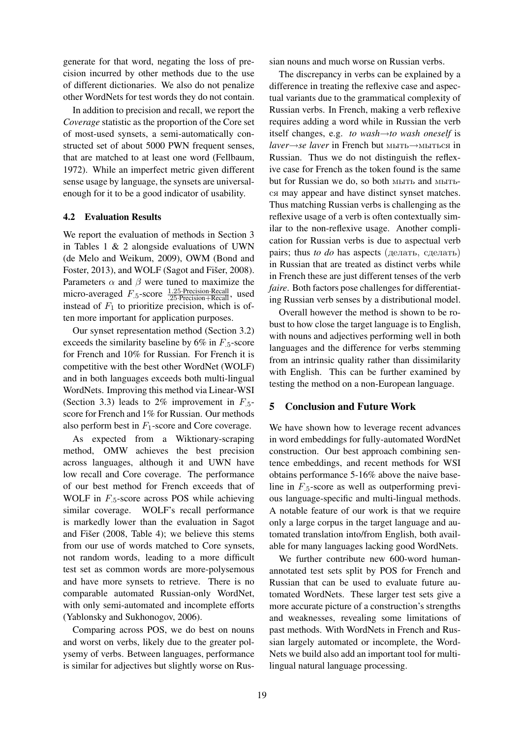generate for that word, negating the loss of precision incurred by other methods due to the use of different dictionaries. We also do not penalize other WordNets for test words they do not contain.

In addition to precision and recall, we report the *Coverage* statistic as the proportion of the Core set of most-used synsets, a semi-automatically constructed set of about 5000 PWN frequent senses, that are matched to at least one word (Fellbaum, 1972). While an imperfect metric given different sense usage by language, the synsets are universalenough for it to be a good indicator of usability.

#### 4.2 Evaluation Results

We report the evaluation of methods in Section 3 in Tables 1 & 2 alongside evaluations of UWN (de Melo and Weikum, 2009), OWM (Bond and Foster, 2013), and WOLF (Sagot and Fišer, 2008). Parameters  $\alpha$  and  $\beta$  were tuned to maximize the micro-averaged  $F_5$ -score  $\frac{1.25\text{-Precision} \text{-Recall}}{25\text{-Precision}+\text{Recall}}$ , used instead of  $F_1$  to prioritize precision, which is often more important for application purposes.

Our synset representation method (Section 3.2) exceeds the similarity baseline by 6% in  $F_{.5}$ -score for French and 10% for Russian. For French it is competitive with the best other WordNet (WOLF) and in both languages exceeds both multi-lingual WordNets. Improving this method via Linear-WSI (Section 3.3) leads to 2% improvement in  $F_{.5}$ score for French and 1% for Russian. Our methods also perform best in  $F_1$ -score and Core coverage.

As expected from a Wiktionary-scraping method, OMW achieves the best precision across languages, although it and UWN have low recall and Core coverage. The performance of our best method for French exceeds that of WOLF in  $F<sub>5</sub>$ -score across POS while achieving similar coverage. WOLF's recall performance is markedly lower than the evaluation in Sagot and Fišer  $(2008, 7ab]$ e 4); we believe this stems from our use of words matched to Core synsets, not random words, leading to a more difficult test set as common words are more-polysemous and have more synsets to retrieve. There is no comparable automated Russian-only WordNet, with only semi-automated and incomplete efforts (Yablonsky and Sukhonogov, 2006).

Comparing across POS, we do best on nouns and worst on verbs, likely due to the greater polysemy of verbs. Between languages, performance is similar for adjectives but slightly worse on Russian nouns and much worse on Russian verbs.

The discrepancy in verbs can be explained by a difference in treating the reflexive case and aspectual variants due to the grammatical complexity of Russian verbs. In French, making a verb reflexive requires adding a word while in Russian the verb itself changes, e.g. *to wash*→*to wash oneself* is *laver*→*se laver* in French but мыть→мыться in Russian. Thus we do not distinguish the reflexive case for French as the token found is the same but for Russian we do, so both мыть and мыться may appear and have distinct synset matches. Thus matching Russian verbs is challenging as the reflexive usage of a verb is often contextually similar to the non-reflexive usage. Another complication for Russian verbs is due to aspectual verb pairs; thus *to do* has aspects (делать, сделать) in Russian that are treated as distinct verbs while in French these are just different tenses of the verb *faire*. Both factors pose challenges for differentiating Russian verb senses by a distributional model.

Overall however the method is shown to be robust to how close the target language is to English, with nouns and adjectives performing well in both languages and the difference for verbs stemming from an intrinsic quality rather than dissimilarity with English. This can be further examined by testing the method on a non-European language.

### 5 Conclusion and Future Work

We have shown how to leverage recent advances in word embeddings for fully-automated WordNet construction. Our best approach combining sentence embeddings, and recent methods for WSI obtains performance 5-16% above the naive baseline in  $F_{.5}$ -score as well as outperforming previous language-specific and multi-lingual methods. A notable feature of our work is that we require only a large corpus in the target language and automated translation into/from English, both available for many languages lacking good WordNets.

We further contribute new 600-word humanannotated test sets split by POS for French and Russian that can be used to evaluate future automated WordNets. These larger test sets give a more accurate picture of a construction's strengths and weaknesses, revealing some limitations of past methods. With WordNets in French and Russian largely automated or incomplete, the Word-Nets we build also add an important tool for multilingual natural language processing.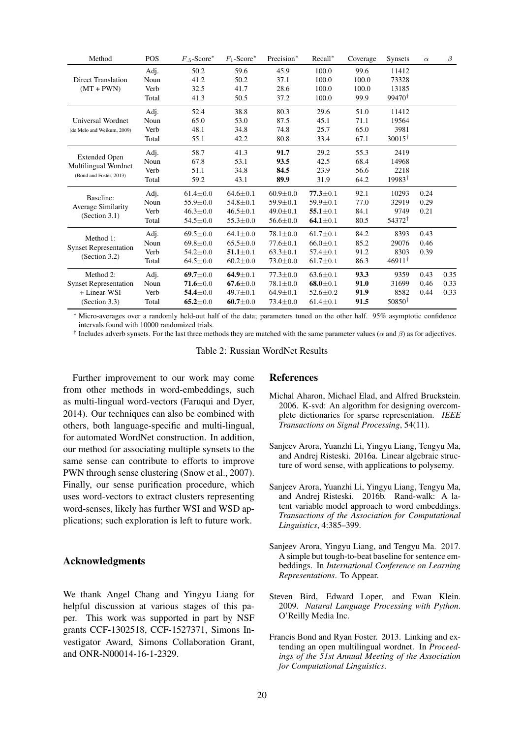| Method                                                                     | POS   | $F_{.5}$ -Score* | $F_1$ -Score*  | Precision*     | Recall*        | Coverage                                                             | <b>Synsets</b>     | $\alpha$ | β    |
|----------------------------------------------------------------------------|-------|------------------|----------------|----------------|----------------|----------------------------------------------------------------------|--------------------|----------|------|
| Direct Translation<br>$(MT + PWN)$                                         | Adj.  | 50.2             | 59.6           | 45.9           | 100.0          | 99.6                                                                 | 11412              |          |      |
|                                                                            | Noun  | 41.2             | 50.2           | 37.1           | 100.0          | 100.0                                                                | 73328              |          |      |
|                                                                            | Verb  | 32.5             | 41.7           | 28.6           | 100.0          | 100.0                                                                | 13185              |          |      |
|                                                                            | Total | 41.3             | 50.5           | 37.2           | 100.0          | 99.9                                                                 | 99470 <sup>†</sup> |          |      |
|                                                                            | Adj.  | 52.4             | 38.8           | 80.3           | 29.6           | 51.0                                                                 | 11412              |          |      |
| Universal Wordnet                                                          | Noun  | 65.0             | 53.0           | 87.5           | 45.1           | 71.1                                                                 | 19564              |          |      |
| (de Melo and Weikum, 2009)                                                 | Verb  | 48.1             | 34.8           | 74.8           | 25.7           | 65.0                                                                 | 3981               |          |      |
|                                                                            | Total | 55.1             | 42.2           | 80.8           | 33.4           | 67.1                                                                 | $30015^{\dagger}$  |          |      |
| <b>Extended Open</b><br>Multilingual Wordnet<br>(Bond and Foster, 2013)    | Adj.  | 58.7             | 41.3           | 91.7           | 29.2           | 55.3                                                                 | 2419               |          |      |
|                                                                            | Noun  | 67.8             | 53.1           | 93.5           | 42.5           | 68.4                                                                 | 14968              |          |      |
|                                                                            | Verb  | 51.1             | 34.8           | 84.5           | 23.9           | 56.6                                                                 | 2218               |          |      |
|                                                                            | Total | 59.2             | 43.1           | 89.9           | 31.9           | 64.2                                                                 | 19983 <sup>†</sup> |          |      |
| Baseline:                                                                  | Adj.  | $61.4 \pm 0.0$   | $64.6 \pm 0.1$ | $60.9 \pm 0.0$ | $77.3 \pm 0.1$ | 92.1                                                                 | 10293              | 0.24     |      |
|                                                                            | Noun  | $55.9 \pm 0.0$   | $54.8 \pm 0.1$ | 59.9±0.1       | $59.9 \pm 0.1$ | 77.0                                                                 | 32919              | 0.29     |      |
| <b>Average Similarity</b><br>(Section 3.1)                                 | Verb  | $46.3 \pm 0.0$   | $46.5 \pm 0.1$ | $49.0 \pm 0.1$ | $55.1 \pm 0.1$ | 84.1                                                                 | 9749               | 0.21     |      |
|                                                                            | Total | $54.5 \pm 0.0$   | $55.3 \pm 0.0$ | $56.6 \pm 0.0$ | $64.1 \pm 0.1$ | 80.5<br>84.2<br>85.2<br>91.2<br>86.3<br>93.3<br>91.0<br>91.9<br>91.5 | 54372 <sup>†</sup> |          |      |
| Method 1:<br><b>Synset Representation</b><br>(Section 3.2)                 | Adj.  | $69.5 \pm 0.0$   | $64.1 \pm 0.0$ | $78.1 \pm 0.0$ | $61.7 \pm 0.1$ |                                                                      | 8393               | 0.43     |      |
|                                                                            | Noun  | $69.8 \pm 0.0$   | $65.5 \pm 0.0$ | $77.6 \pm 0.1$ | $66.0 \pm 0.1$ |                                                                      | 29076              | 0.46     |      |
|                                                                            | Verb  | $54.2 \pm 0.0$   | $51.1 \pm 0.1$ | $63.3 \pm 0.1$ | $57.4 \pm 0.1$ |                                                                      | 8303               | 0.39     |      |
|                                                                            | Total | $64.5 \pm 0.0$   | $60.2 \pm 0.0$ | $73.0 \pm 0.0$ | $61.7 \pm 0.1$ |                                                                      | $46911^{\dagger}$  |          |      |
| Method 2:<br><b>Synset Representation</b><br>+ Linear-WSI<br>(Section 3.3) | Adj.  | $69.7 \pm 0.0$   | $64.9 \pm 0.1$ | $77.3 \pm 0.0$ | $63.6 \pm 0.1$ |                                                                      | 9359               | 0.43     | 0.35 |
|                                                                            | Noun  | $71.6 \pm 0.0$   | $67.6 \pm 0.0$ | $78.1 \pm 0.0$ | $68.0 \pm 0.1$ |                                                                      | 31699              | 0.46     | 0.33 |
|                                                                            | Verb  | $54.4 \pm 0.0$   | $49.7 \pm 0.1$ | $64.9 \pm 0.1$ | $52.6 \pm 0.2$ |                                                                      | 8582               | 0.44     | 0.33 |
|                                                                            | Total | $65.2 \pm 0.0$   | $60.7 \pm 0.0$ | $73.4 \pm 0.0$ | $61.4 \pm 0.1$ |                                                                      | 50850 <sup>†</sup> |          |      |

∗ Micro-averages over a randomly held-out half of the data; parameters tuned on the other half. 95% asymptotic confidence intervals found with 10000 randomized trials.

<sup>†</sup> Includes adverb synsets. For the last three methods they are matched with the same parameter values ( $\alpha$  and  $\beta$ ) as for adjectives.

Table 2: Russian WordNet Results

Further improvement to our work may come from other methods in word-embeddings, such as multi-lingual word-vectors (Faruqui and Dyer, 2014). Our techniques can also be combined with others, both language-specific and multi-lingual, for automated WordNet construction. In addition, our method for associating multiple synsets to the same sense can contribute to efforts to improve PWN through sense clustering (Snow et al., 2007). Finally, our sense purification procedure, which uses word-vectors to extract clusters representing word-senses, likely has further WSI and WSD applications; such exploration is left to future work.

### Acknowledgments

We thank Angel Chang and Yingyu Liang for helpful discussion at various stages of this paper. This work was supported in part by NSF grants CCF-1302518, CCF-1527371, Simons Investigator Award, Simons Collaboration Grant, and ONR-N00014-16-1-2329.

#### References

- Michal Aharon, Michael Elad, and Alfred Bruckstein. 2006. K-svd: An algorithm for designing overcomplete dictionaries for sparse representation. *IEEE Transactions on Signal Processing*, 54(11).
- Sanjeev Arora, Yuanzhi Li, Yingyu Liang, Tengyu Ma, and Andrej Risteski. 2016a. Linear algebraic structure of word sense, with applications to polysemy.
- Sanjeev Arora, Yuanzhi Li, Yingyu Liang, Tengyu Ma, and Andrej Risteski. 2016b. Rand-walk: A latent variable model approach to word embeddings. *Transactions of the Association for Computational Linguistics*, 4:385–399.
- Sanjeev Arora, Yingyu Liang, and Tengyu Ma. 2017. A simple but tough-to-beat baseline for sentence embeddings. In *International Conference on Learning Representations*. To Appear.
- Steven Bird, Edward Loper, and Ewan Klein. 2009. *Natural Language Processing with Python*. O'Reilly Media Inc.
- Francis Bond and Ryan Foster. 2013. Linking and extending an open multilingual wordnet. In *Proceedings of the 51st Annual Meeting of the Association for Computational Linguistics*.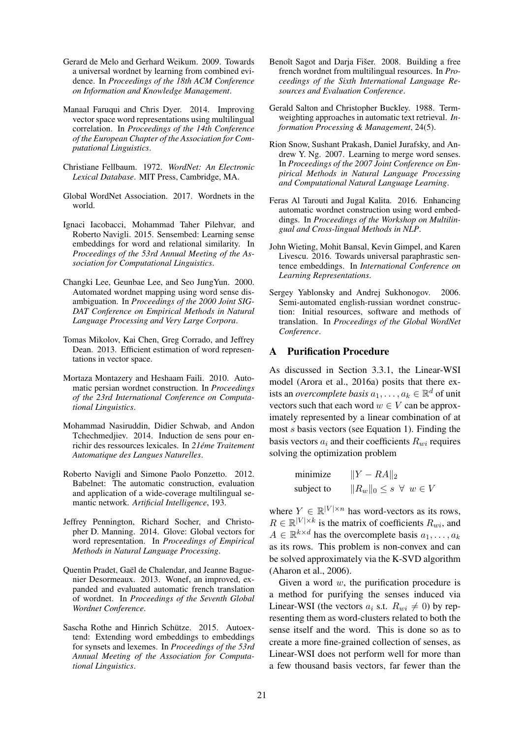- Gerard de Melo and Gerhard Weikum. 2009. Towards a universal wordnet by learning from combined evidence. In *Proceedings of the 18th ACM Conference on Information and Knowledge Management*.
- Manaal Faruqui and Chris Dyer. 2014. Improving vector space word representations using multilingual correlation. In *Proceedings of the 14th Conference of the European Chapter of the Association for Computational Linguistics*.
- Christiane Fellbaum. 1972. *WordNet: An Electronic Lexical Database*. MIT Press, Cambridge, MA.
- Global WordNet Association. 2017. Wordnets in the world.
- Ignaci Iacobacci, Mohammad Taher Pilehvar, and Roberto Navigli. 2015. Sensembed: Learning sense embeddings for word and relational similarity. In *Proceedings of the 53rd Annual Meeting of the Association for Computational Linguistics*.
- Changki Lee, Geunbae Lee, and Seo JungYun. 2000. Automated wordnet mapping using word sense disambiguation. In *Proceedings of the 2000 Joint SIG-DAT Conference on Empirical Methods in Natural Language Processing and Very Large Corpora*.
- Tomas Mikolov, Kai Chen, Greg Corrado, and Jeffrey Dean. 2013. Efficient estimation of word representations in vector space.
- Mortaza Montazery and Heshaam Faili. 2010. Automatic persian wordnet construction. In *Proceedings of the 23rd International Conference on Computational Linguistics*.
- Mohammad Nasiruddin, Didier Schwab, and Andon Tchechmedjiev. 2014. Induction de sens pour enrichir des ressources lexicales. In *21eme Traitement ´ Automatique des Langues Naturelles*.
- Roberto Navigli and Simone Paolo Ponzetto. 2012. Babelnet: The automatic construction, evaluation and application of a wide-coverage multilingual semantic network. *Artificial Intelligence*, 193.
- Jeffrey Pennington, Richard Socher, and Christopher D. Manning. 2014. Glove: Global vectors for word representation. In *Proceedings of Empirical Methods in Natural Language Processing*.
- Quentin Pradet, Gaël de Chalendar, and Jeanne Baguenier Desormeaux. 2013. Wonef, an improved, expanded and evaluated automatic french translation of wordnet. In *Proceedings of the Seventh Global Wordnet Conference*.
- Sascha Rothe and Hinrich Schütze. 2015. Autoextend: Extending word embeddings to embeddings for synsets and lexemes. In *Proceedings of the 53rd Annual Meeting of the Association for Computational Linguistics*.
- Benoît Sagot and Daria Fišer. 2008. Building a free french wordnet from multilingual resources. In *Proceedings of the Sixth International Language Resources and Evaluation Conference*.
- Gerald Salton and Christopher Buckley. 1988. Termweighting approaches in automatic text retrieval. *Information Processing & Management*, 24(5).
- Rion Snow, Sushant Prakash, Daniel Jurafsky, and Andrew Y. Ng. 2007. Learning to merge word senses. In *Proceedings of the 2007 Joint Conference on Empirical Methods in Natural Language Processing and Computational Natural Language Learning*.
- Feras Al Tarouti and Jugal Kalita. 2016. Enhancing automatic wordnet construction using word embeddings. In *Proceedings of the Workshop on Multilingual and Cross-lingual Methods in NLP*.
- John Wieting, Mohit Bansal, Kevin Gimpel, and Karen Livescu. 2016. Towards universal paraphrastic sentence embeddings. In *International Conference on Learning Representations*.
- Sergey Yablonsky and Andrej Sukhonogov. 2006. Semi-automated english-russian wordnet construction: Initial resources, software and methods of translation. In *Proceedings of the Global WordNet Conference*.

#### A Purification Procedure

As discussed in Section 3.3.1, the Linear-WSI model (Arora et al., 2016a) posits that there exists an *overcomplete basis*  $a_1, \ldots, a_k \in \mathbb{R}^d$  of unit vectors such that each word  $w \in V$  can be approximately represented by a linear combination of at most s basis vectors (see Equation 1). Finding the basis vectors  $a_i$  and their coefficients  $R_{wi}$  requires solving the optimization problem

$$
\begin{array}{ll}\text{minimize} & \|Y - RA\|_2\\ \text{subject to} & \|R_w\|_0 \le s \ \forall \ w \in V \end{array}
$$

where  $Y \in \mathbb{R}^{|V| \times n}$  has word-vectors as its rows,  $R \in \mathbb{R}^{|V| \times k}$  is the matrix of coefficients  $R_{wi}$ , and  $A \in \mathbb{R}^{k \times d}$  has the overcomplete basis  $a_1, \ldots, a_k$ as its rows. This problem is non-convex and can be solved approximately via the K-SVD algorithm (Aharon et al., 2006).

Given a word  $w$ , the purification procedure is a method for purifying the senses induced via Linear-WSI (the vectors  $a_i$  s.t.  $R_{wi} \neq 0$ ) by representing them as word-clusters related to both the sense itself and the word. This is done so as to create a more fine-grained collection of senses, as Linear-WSI does not perform well for more than a few thousand basis vectors, far fewer than the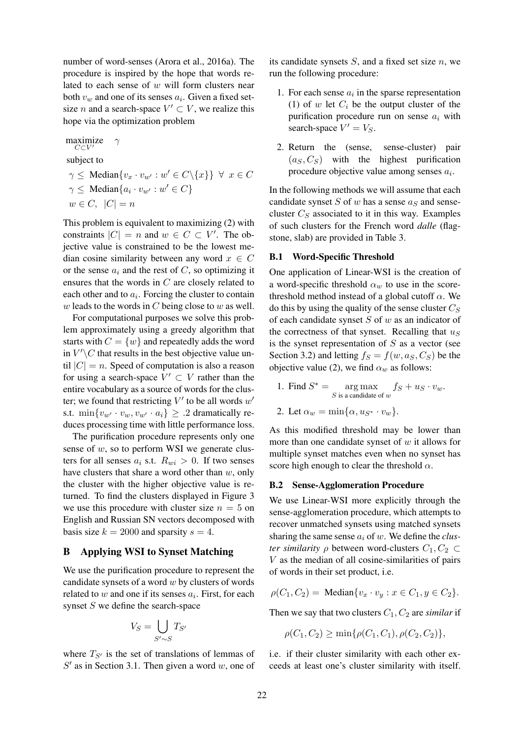number of word-senses (Arora et al., 2016a). The procedure is inspired by the hope that words related to each sense of  $w$  will form clusters near both  $v_w$  and one of its senses  $a_i$ . Given a fixed setsize *n* and a search-space  $V' \subset V$ , we realize this hope via the optimization problem

maximize  $C\subset V'$ γ subject to  $\gamma \leq \text{Median}\{v_x \cdot v_{w'} : w' \in C \setminus \{x\}\} \ \forall \ \ x \in C$  $\gamma \leq \text{Median}\{a_i \cdot v_{w'} : w' \in C\}$  $w \in C, |C| = n$ 

This problem is equivalent to maximizing (2) with constraints  $|C| = n$  and  $w \in C \subset V'$ . The objective value is constrained to be the lowest median cosine similarity between any word  $x \in C$ or the sense  $a_i$  and the rest of C, so optimizing it ensures that the words in C are closely related to each other and to  $a_i$ . Forcing the cluster to contain  $w$  leads to the words in  $C$  being close to  $w$  as well.

For computational purposes we solve this problem approximately using a greedy algorithm that starts with  $C = \{w\}$  and repeatedly adds the word in  $V' \backslash C$  that results in the best objective value until  $|C| = n$ . Speed of computation is also a reason for using a search-space  $V' \subset V$  rather than the entire vocabulary as a source of words for the cluster; we found that restricting  $V'$  to be all words  $w'$ s.t.  $\min\{v_{w'}\cdot v_w, v_{w'}\cdot a_i\} \geq .2$  dramatically reduces processing time with little performance loss.

The purification procedure represents only one sense of  $w$ , so to perform WSI we generate clusters for all senses  $a_i$  s.t.  $R_{wi} > 0$ . If two senses have clusters that share a word other than  $w$ , only the cluster with the higher objective value is returned. To find the clusters displayed in Figure 3 we use this procedure with cluster size  $n = 5$  on English and Russian SN vectors decomposed with basis size  $k = 2000$  and sparsity  $s = 4$ .

## B Applying WSI to Synset Matching

We use the purification procedure to represent the candidate synsets of a word  $w$  by clusters of words related to  $w$  and one if its senses  $a_i$ . First, for each synset  $S$  we define the search-space

$$
V_S = \bigcup_{S' \sim S} T_{S'}
$$

where  $T_{S'}$  is the set of translations of lemmas of  $S'$  as in Section 3.1. Then given a word w, one of

its candidate synsets  $S$ , and a fixed set size  $n$ , we run the following procedure:

- 1. For each sense  $a_i$  in the sparse representation (1) of  $w$  let  $C_i$  be the output cluster of the purification procedure run on sense  $a_i$  with search-space  $V' = V_S$ .
- 2. Return the (sense, sense-cluster) pair  $(a_S, C_S)$  with the highest purification procedure objective value among senses  $a_i$ .

In the following methods we will assume that each candidate synset S of w has a sense  $a<sub>S</sub>$  and sensecluster  $C_S$  associated to it in this way. Examples of such clusters for the French word *dalle* (flagstone, slab) are provided in Table 3.

#### B.1 Word-Specific Threshold

One application of Linear-WSI is the creation of a word-specific threshold  $\alpha_w$  to use in the scorethreshold method instead of a global cutoff  $\alpha$ . We do this by using the quality of the sense cluster  $C_S$ of each candidate synset  $S$  of  $w$  as an indicator of the correctness of that synset. Recalling that  $u<sub>S</sub>$ is the synset representation of  $S$  as a vector (see Section 3.2) and letting  $f_S = f(w, a_S, C_S)$  be the objective value (2), we find  $\alpha_w$  as follows:

1. Find  $S^* =$  $* = \arg \max$  $\arg\max_{S \text{ is a candidate of } w} f_S + u_S \cdot v_w.$ 

2. Let 
$$
\alpha_w = \min{\{\alpha, u_{S^*} \cdot v_w\}}
$$
.

As this modified threshold may be lower than more than one candidate synset of  $w$  it allows for multiple synset matches even when no synset has score high enough to clear the threshold  $\alpha$ .

#### B.2 Sense-Agglomeration Procedure

We use Linear-WSI more explicitly through the sense-agglomeration procedure, which attempts to recover unmatched synsets using matched synsets sharing the same sense  $a_i$  of w. We define the *cluster similarity*  $\rho$  between word-clusters  $C_1, C_2 \subset$ V as the median of all cosine-similarities of pairs of words in their set product, i.e.

$$
\rho(C_1, C_2) = \text{Median}\{v_x \cdot v_y : x \in C_1, y \in C_2\}.
$$

Then we say that two clusters  $C_1$ ,  $C_2$  are *similar* if

$$
\rho(C_1, C_2) \ge \min\{\rho(C_1, C_1), \rho(C_2, C_2)\},\
$$

i.e. if their cluster similarity with each other exceeds at least one's cluster similarity with itself.